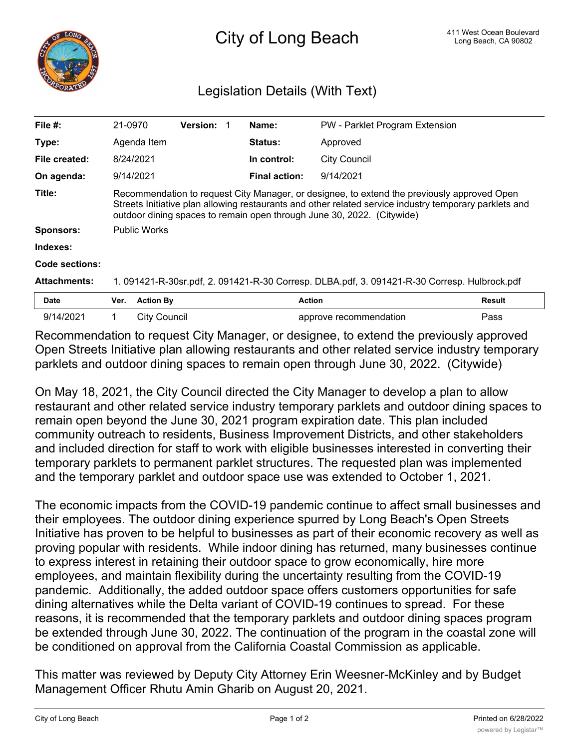

## Legislation Details (With Text)

| File $#$ :            | 21-0970                                                                                                                                                                                                                                                                         |                     | <b>Version:</b> |  | Name:                | PW - Parklet Program Extension |               |
|-----------------------|---------------------------------------------------------------------------------------------------------------------------------------------------------------------------------------------------------------------------------------------------------------------------------|---------------------|-----------------|--|----------------------|--------------------------------|---------------|
| Type:                 |                                                                                                                                                                                                                                                                                 | Agenda Item         |                 |  | <b>Status:</b>       | Approved                       |               |
| File created:         | 8/24/2021                                                                                                                                                                                                                                                                       |                     |                 |  | In control:          | City Council                   |               |
| On agenda:            | 9/14/2021                                                                                                                                                                                                                                                                       |                     |                 |  | <b>Final action:</b> | 9/14/2021                      |               |
| Title:                | Recommendation to request City Manager, or designee, to extend the previously approved Open<br>Streets Initiative plan allowing restaurants and other related service industry temporary parklets and<br>outdoor dining spaces to remain open through June 30, 2022. (Citywide) |                     |                 |  |                      |                                |               |
| <b>Sponsors:</b>      | <b>Public Works</b>                                                                                                                                                                                                                                                             |                     |                 |  |                      |                                |               |
| Indexes:              |                                                                                                                                                                                                                                                                                 |                     |                 |  |                      |                                |               |
| <b>Code sections:</b> |                                                                                                                                                                                                                                                                                 |                     |                 |  |                      |                                |               |
| <b>Attachments:</b>   | 1. 091421-R-30sr.pdf, 2. 091421-R-30 Corresp. DLBA.pdf, 3. 091421-R-30 Corresp. Hulbrock.pdf                                                                                                                                                                                    |                     |                 |  |                      |                                |               |
| <b>Date</b>           | Ver.                                                                                                                                                                                                                                                                            | <b>Action By</b>    |                 |  |                      | <b>Action</b>                  | <b>Result</b> |
| 9/14/2021             |                                                                                                                                                                                                                                                                                 | <b>City Council</b> |                 |  |                      | approve recommendation         | Pass          |

Recommendation to request City Manager, or designee, to extend the previously approved Open Streets Initiative plan allowing restaurants and other related service industry temporary parklets and outdoor dining spaces to remain open through June 30, 2022. (Citywide)

On May 18, 2021, the City Council directed the City Manager to develop a plan to allow restaurant and other related service industry temporary parklets and outdoor dining spaces to remain open beyond the June 30, 2021 program expiration date. This plan included community outreach to residents, Business Improvement Districts, and other stakeholders and included direction for staff to work with eligible businesses interested in converting their temporary parklets to permanent parklet structures. The requested plan was implemented and the temporary parklet and outdoor space use was extended to October 1, 2021.

The economic impacts from the COVID-19 pandemic continue to affect small businesses and their employees. The outdoor dining experience spurred by Long Beach's Open Streets Initiative has proven to be helpful to businesses as part of their economic recovery as well as proving popular with residents. While indoor dining has returned, many businesses continue to express interest in retaining their outdoor space to grow economically, hire more employees, and maintain flexibility during the uncertainty resulting from the COVID-19 pandemic. Additionally, the added outdoor space offers customers opportunities for safe dining alternatives while the Delta variant of COVID-19 continues to spread. For these reasons, it is recommended that the temporary parklets and outdoor dining spaces program be extended through June 30, 2022. The continuation of the program in the coastal zone will be conditioned on approval from the California Coastal Commission as applicable.

This matter was reviewed by Deputy City Attorney Erin Weesner-McKinley and by Budget Management Officer Rhutu Amin Gharib on August 20, 2021.